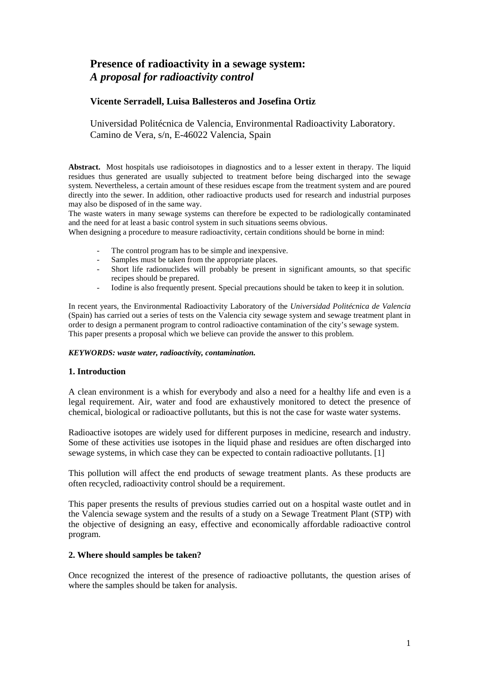# **Presence of radioactivity in a sewage system:**  *A proposal for radioactivity control*

# **Vicente Serradell, Luisa Ballesteros and Josefina Ortiz**

Universidad Politécnica de Valencia, Environmental Radioactivity Laboratory. Camino de Vera, s/n, E-46022 Valencia, Spain

**Abstract.** Most hospitals use radioisotopes in diagnostics and to a lesser extent in therapy. The liquid residues thus generated are usually subjected to treatment before being discharged into the sewage system. Nevertheless, a certain amount of these residues escape from the treatment system and are poured directly into the sewer. In addition, other radioactive products used for research and industrial purposes may also be disposed of in the same way.

The waste waters in many sewage systems can therefore be expected to be radiologically contaminated and the need for at least a basic control system in such situations seems obvious.

When designing a procedure to measure radioactivity, certain conditions should be borne in mind:

- The control program has to be simple and inexpensive.
- Samples must be taken from the appropriate places.
- Short life radionuclides will probably be present in significant amounts, so that specific recipes should be prepared.
- Iodine is also frequently present. Special precautions should be taken to keep it in solution.

In recent years, the Environmental Radioactivity Laboratory of the *Universidad Politécnica de Valencia* (Spain) has carried out a series of tests on the Valencia city sewage system and sewage treatment plant in order to design a permanent program to control radioactive contamination of the city's sewage system. This paper presents a proposal which we believe can provide the answer to this problem.

#### *KEYWORDS: waste water, radioactivity, contamination.*

#### **1. Introduction**

A clean environment is a whish for everybody and also a need for a healthy life and even is a legal requirement. Air, water and food are exhaustively monitored to detect the presence of chemical, biological or radioactive pollutants, but this is not the case for waste water systems.

Radioactive isotopes are widely used for different purposes in medicine, research and industry. Some of these activities use isotopes in the liquid phase and residues are often discharged into sewage systems, in which case they can be expected to contain radioactive pollutants. [1]

This pollution will affect the end products of sewage treatment plants. As these products are often recycled, radioactivity control should be a requirement.

This paper presents the results of previous studies carried out on a hospital waste outlet and in the Valencia sewage system and the results of a study on a Sewage Treatment Plant (STP) with the objective of designing an easy, effective and economically affordable radioactive control program.

### **2. Where should samples be taken?**

Once recognized the interest of the presence of radioactive pollutants, the question arises of where the samples should be taken for analysis.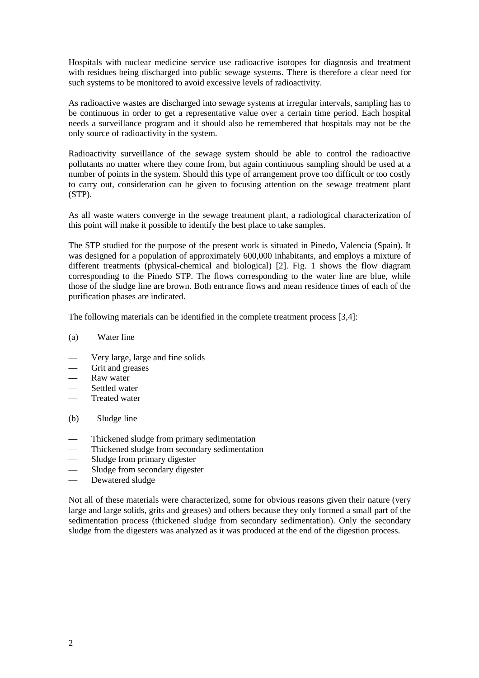Hospitals with nuclear medicine service use radioactive isotopes for diagnosis and treatment with residues being discharged into public sewage systems. There is therefore a clear need for such systems to be monitored to avoid excessive levels of radioactivity.

As radioactive wastes are discharged into sewage systems at irregular intervals, sampling has to be continuous in order to get a representative value over a certain time period. Each hospital needs a surveillance program and it should also be remembered that hospitals may not be the only source of radioactivity in the system.

Radioactivity surveillance of the sewage system should be able to control the radioactive pollutants no matter where they come from, but again continuous sampling should be used at a number of points in the system. Should this type of arrangement prove too difficult or too costly to carry out, consideration can be given to focusing attention on the sewage treatment plant (STP).

As all waste waters converge in the sewage treatment plant, a radiological characterization of this point will make it possible to identify the best place to take samples.

The STP studied for the purpose of the present work is situated in Pinedo, Valencia (Spain). It was designed for a population of approximately 600,000 inhabitants, and employs a mixture of different treatments (physical-chemical and biological) [2]. Fig. 1 shows the flow diagram corresponding to the Pinedo STP. The flows corresponding to the water line are blue, while those of the sludge line are brown. Both entrance flows and mean residence times of each of the purification phases are indicated.

The following materials can be identified in the complete treatment process [3,4]:

- (a) Water line
- Very large, large and fine solids
- Grit and greases
- Raw water
- Settled water
- Treated water
- (b) Sludge line
- Thickened sludge from primary sedimentation
- Thickened sludge from secondary sedimentation
- Sludge from primary digester
- Sludge from secondary digester
- Dewatered sludge

Not all of these materials were characterized, some for obvious reasons given their nature (very large and large solids, grits and greases) and others because they only formed a small part of the sedimentation process (thickened sludge from secondary sedimentation). Only the secondary sludge from the digesters was analyzed as it was produced at the end of the digestion process.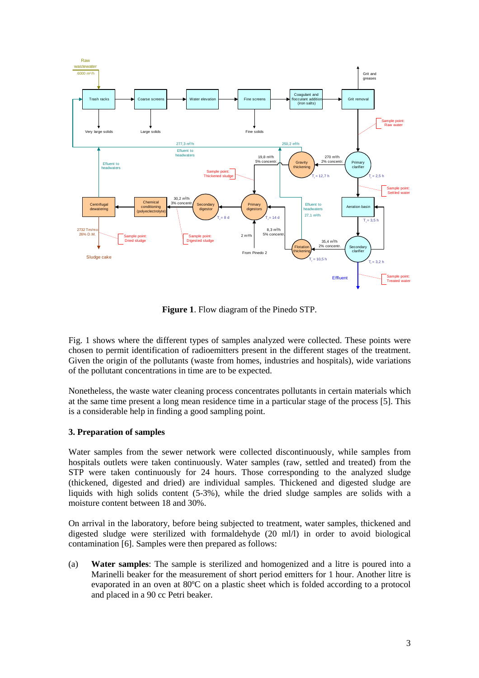

**Figure 1**. Flow diagram of the Pinedo STP.

Fig. 1 shows where the different types of samples analyzed were collected. These points were chosen to permit identification of radioemitters present in the different stages of the treatment. Given the origin of the pollutants (waste from homes, industries and hospitals), wide variations of the pollutant concentrations in time are to be expected.

Nonetheless, the waste water cleaning process concentrates pollutants in certain materials which at the same time present a long mean residence time in a particular stage of the process [5]. This is a considerable help in finding a good sampling point.

# **3. Preparation of samples**

Water samples from the sewer network were collected discontinuously, while samples from hospitals outlets were taken continuously. Water samples (raw, settled and treated) from the STP were taken continuously for 24 hours. Those corresponding to the analyzed sludge (thickened, digested and dried) are individual samples. Thickened and digested sludge are liquids with high solids content (5-3%), while the dried sludge samples are solids with a moisture content between 18 and 30%.

On arrival in the laboratory, before being subjected to treatment, water samples, thickened and digested sludge were sterilized with formaldehyde (20 ml/l) in order to avoid biological contamination [6]. Samples were then prepared as follows:

(a) **Water samples**: The sample is sterilized and homogenized and a litre is poured into a Marinelli beaker for the measurement of short period emitters for 1 hour. Another litre is evaporated in an oven at 80ºC on a plastic sheet which is folded according to a protocol and placed in a 90 cc Petri beaker.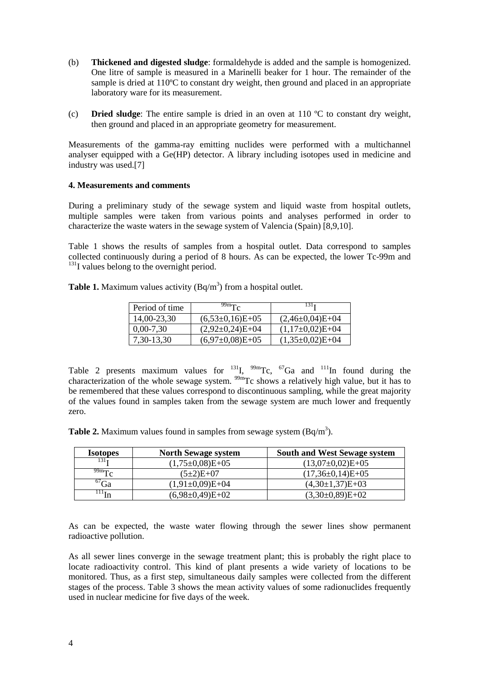- (b) **Thickened and digested sludge**: formaldehyde is added and the sample is homogenized. One litre of sample is measured in a Marinelli beaker for 1 hour. The remainder of the sample is dried at 110°C to constant dry weight, then ground and placed in an appropriate laboratory ware for its measurement.
- (c) **Dried sludge**: The entire sample is dried in an oven at 110 ºC to constant dry weight, then ground and placed in an appropriate geometry for measurement.

Measurements of the gamma-ray emitting nuclides were performed with a multichannel analyser equipped with a Ge(HP) detector. A library including isotopes used in medicine and industry was used.[7]

### **4. Measurements and comments**

During a preliminary study of the sewage system and liquid waste from hospital outlets, multiple samples were taken from various points and analyses performed in order to characterize the waste waters in the sewage system of Valencia (Spain) [8,9,10].

Table 1 shows the results of samples from a hospital outlet. Data correspond to samples collected continuously during a period of 8 hours. As can be expected, the lower Tc-99m and <sup>131</sup>I values belong to the overnight period.

| <b>Table 1.</b> Maximum values activity $(Bq/m^3)$ from a hospital outlet. |
|----------------------------------------------------------------------------|
|----------------------------------------------------------------------------|

| Period of time | $^{99m}$ $\Gamma_c$ | 131 <sub>T</sub>    |
|----------------|---------------------|---------------------|
| 14,00-23,30    | $(6,53\pm0,16)E+05$ | $(2,46\pm0,04)E+04$ |
| $0,00-7,30$    | $(2,92\pm0,24)E+04$ | $(1,17\pm0,02)E+04$ |
| 7,30-13,30     | $(6,97\pm0,08)E+05$ | $(1,35\pm0,02)E+04$ |

Table 2 presents maximum values for  $^{131}$ I,  $^{99m}$ Tc,  $^{67}$ Ga and  $^{111}$ In found during the characterization of the whole sewage system. <sup>99m</sup>Tc shows a relatively high value, but it has to be remembered that these values correspond to discontinuous sampling, while the great majority of the values found in samples taken from the sewage system are much lower and frequently zero.

**Table 2.** Maximum values found in samples from sewage system  $(Bq/m^3)$ .

| <b>Isotopes</b>             | <b>North Sewage system</b> | <b>South and West Sewage system</b> |
|-----------------------------|----------------------------|-------------------------------------|
| 131 <sub>T</sub>            | $(1,75\pm0,08)E+05$        | $(13,07\pm0,02)E+05$                |
| $^{99m}$ Tc                 | $(5\pm2)E+07$              | $(17,36\pm0,14)E+05$                |
| $6\degree$ Ga               | $(1,91\pm0,09)E+04$        | $(4,30\pm1,37)E+03$                 |
| $\mathbf{u}$ <sup>111</sup> | $(6,98\pm0,49)E+02$        | $(3,30\pm0,89)E+02$                 |

As can be expected, the waste water flowing through the sewer lines show permanent radioactive pollution.

As all sewer lines converge in the sewage treatment plant; this is probably the right place to locate radioactivity control. This kind of plant presents a wide variety of locations to be monitored. Thus, as a first step, simultaneous daily samples were collected from the different stages of the process. Table 3 shows the mean activity values of some radionuclides frequently used in nuclear medicine for five days of the week.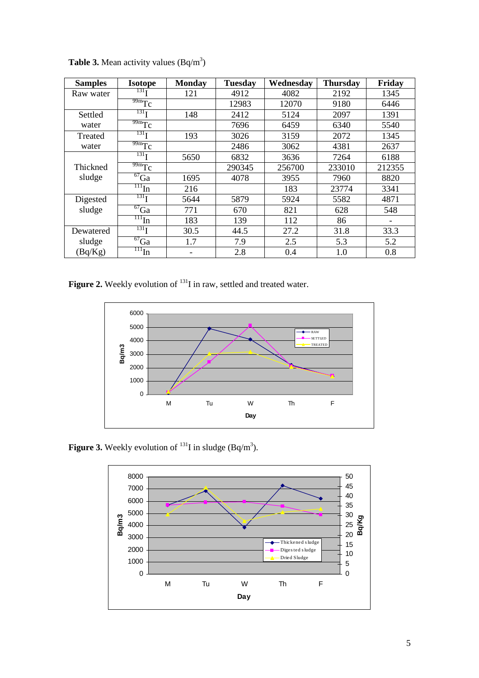| <b>Samples</b> | <b>Isotope</b>                | <b>Monday</b> | <b>Tuesday</b> | Wednesday | <b>Thursday</b> | Friday |
|----------------|-------------------------------|---------------|----------------|-----------|-----------------|--------|
| Raw water      | 131 <sub>T</sub>              | 121           | 4912           | 4082      | 2192            | 1345   |
|                | $\overline{99m}$ Tc           |               | 12983          | 12070     | 9180            | 6446   |
| Settled        | 131 <sub>T</sub>              | 148           | 2412           | 5124      | 2097            | 1391   |
| water          | $\overline{99m}Tc$            |               | 7696           | 6459      | 6340            | 5540   |
| Treated        | 131 <sub>T</sub>              | 193           | 3026           | 3159      | 2072            | 1345   |
| water          | $\overline{99m}Tc$            |               | 2486           | 3062      | 4381            | 2637   |
|                | 131 <sub>T</sub>              | 5650          | 6832           | 3636      | 7264            | 6188   |
| Thickned       | $\frac{99m}{\text{Tc}}$       |               | 290345         | 256700    | 233010          | 212355 |
| sludge         | $\overline{{}^{67}\text{Ga}}$ | 1695          | 4078           | 3955      | 7960            | 8820   |
|                | $\overline{m}_{In}$           | 216           |                | 183       | 23774           | 3341   |
| Digested       | 131 <sub>T</sub>              | 5644          | 5879           | 5924      | 5582            | 4871   |
| sludge         | $\overline{{}^{67}\text{Ga}}$ | 771           | 670            | 821       | 628             | 548    |
|                | $\overline{\mathbf{m}}$ In    | 183           | 139            | 112       | 86              |        |
| Dewatered      | 131 <sub>T</sub>              | 30.5          | 44.5           | 27.2      | 31.8            | 33.3   |
| sludge         | $\overline{{}^{67}\text{Ga}}$ | 1.7           | 7.9            | 2.5       | 5.3             | 5.2    |
| (Bq/Kg)        | $\pi$ <sub>In</sub>           |               | 2.8            | 0.4       | 1.0             | 0.8    |

**Table 3.** Mean activity values  $(Bq/m^3)$ 

Figure 2. Weekly evolution of <sup>131</sup>I in raw, settled and treated water.



**Figure 3.** Weekly evolution of  $^{131}$ I in sludge (Bq/m<sup>3</sup>).

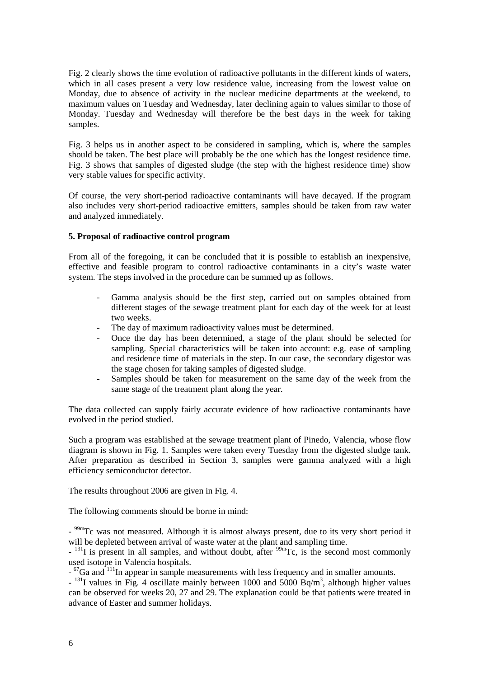Fig. 2 clearly shows the time evolution of radioactive pollutants in the different kinds of waters, which in all cases present a very low residence value, increasing from the lowest value on Monday, due to absence of activity in the nuclear medicine departments at the weekend, to maximum values on Tuesday and Wednesday, later declining again to values similar to those of Monday. Tuesday and Wednesday will therefore be the best days in the week for taking samples.

Fig. 3 helps us in another aspect to be considered in sampling, which is, where the samples should be taken. The best place will probably be the one which has the longest residence time. Fig. 3 shows that samples of digested sludge (the step with the highest residence time) show very stable values for specific activity.

Of course, the very short-period radioactive contaminants will have decayed. If the program also includes very short-period radioactive emitters, samples should be taken from raw water and analyzed immediately.

## **5. Proposal of radioactive control program**

From all of the foregoing, it can be concluded that it is possible to establish an inexpensive, effective and feasible program to control radioactive contaminants in a city's waste water system. The steps involved in the procedure can be summed up as follows.

- Gamma analysis should be the first step, carried out on samples obtained from different stages of the sewage treatment plant for each day of the week for at least two weeks.
- The day of maximum radioactivity values must be determined.
- Once the day has been determined, a stage of the plant should be selected for sampling. Special characteristics will be taken into account: e.g. ease of sampling and residence time of materials in the step. In our case, the secondary digestor was the stage chosen for taking samples of digested sludge.
- Samples should be taken for measurement on the same day of the week from the same stage of the treatment plant along the year.

The data collected can supply fairly accurate evidence of how radioactive contaminants have evolved in the period studied.

Such a program was established at the sewage treatment plant of Pinedo, Valencia, whose flow diagram is shown in Fig. 1. Samples were taken every Tuesday from the digested sludge tank. After preparation as described in Section 3, samples were gamma analyzed with a high efficiency semiconductor detector.

The results throughout 2006 are given in Fig. 4.

The following comments should be borne in mind:

- <sup>99m</sup>Tc was not measured. Although it is almost always present, due to its very short period it will be depleted between arrival of waste water at the plant and sampling time.

 $-$ <sup>131</sup>I is present in all samples, and without doubt, after <sup>99m</sup>Tc, is the second most commonly used isotope in Valencia hospitals.

 $\sim$   $^{67}$ Ga and  $^{111}$ In appear in sample measurements with less frequency and in smaller amounts.

 $-$ <sup>131</sup>I values in Fig. 4 oscillate mainly between 1000 and 5000 Bq/m<sup>3</sup>, although higher values can be observed for weeks 20, 27 and 29. The explanation could be that patients were treated in advance of Easter and summer holidays.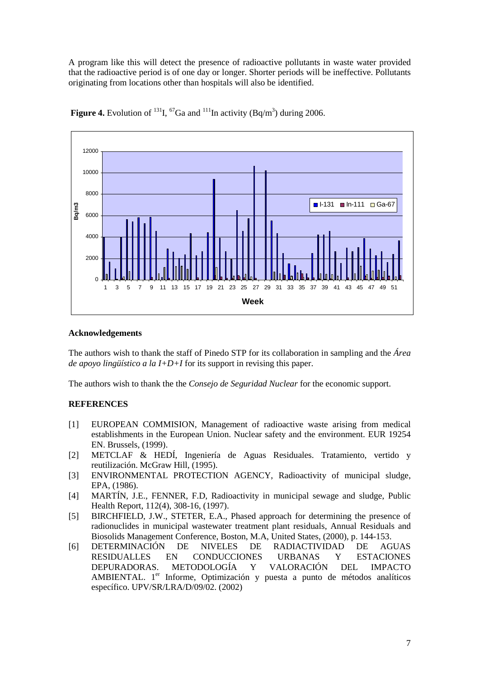A program like this will detect the presence of radioactive pollutants in waste water provided that the radioactive period is of one day or longer. Shorter periods will be ineffective. Pollutants originating from locations other than hospitals will also be identified.



**Figure 4.** Evolution of <sup>131</sup>I, <sup>67</sup>Ga and <sup>111</sup>In activity (Bq/m<sup>3</sup>) during 2006.

### **Acknowledgements**

The authors wish to thank the staff of Pinedo STP for its collaboration in sampling and the *Área de apoyo lingüístico a la I+D+I* for its support in revising this paper.

The authors wish to thank the the *Consejo de Seguridad Nuclear* for the economic support.

# **REFERENCES**

- [1] EUROPEAN COMMISION, Management of radioactive waste arising from medical establishments in the European Union. Nuclear safety and the environment. EUR 19254 EN. Brussels, (1999).
- [2] METCLAF & HEDÍ, Ingeniería de Aguas Residuales. Tratamiento, vertido y reutilización. McGraw Hill, (1995).
- [3] ENVIRONMENTAL PROTECTION AGENCY, Radioactivity of municipal sludge, EPA, (1986).
- [4] MARTÍN, J.E., FENNER, F.D, Radioactivity in municipal sewage and sludge, Public Health Report, 112(4), 308-16, (1997).
- [5] BIRCHFIELD, J.W., STETER, E.A., Phased approach for determining the presence of radionuclides in municipal wastewater treatment plant residuals, Annual Residuals and Biosolids Management Conference, Boston, M.A, United States, (2000), p. 144-153.
- [6] DETERMINACIÓN DE NIVELES DE RADIACTIVIDAD DE AGUAS RESIDUALLES EN CONDUCCIONES URBANAS Y ESTACIONES DEPURADORAS. METODOLOGÍA Y VALORACIÓN DEL IMPACTO AMBIENTAL. 1<sup>er</sup> Informe, Optimización y puesta a punto de métodos analíticos específico. UPV/SR/LRA/D/09/02. (2002)